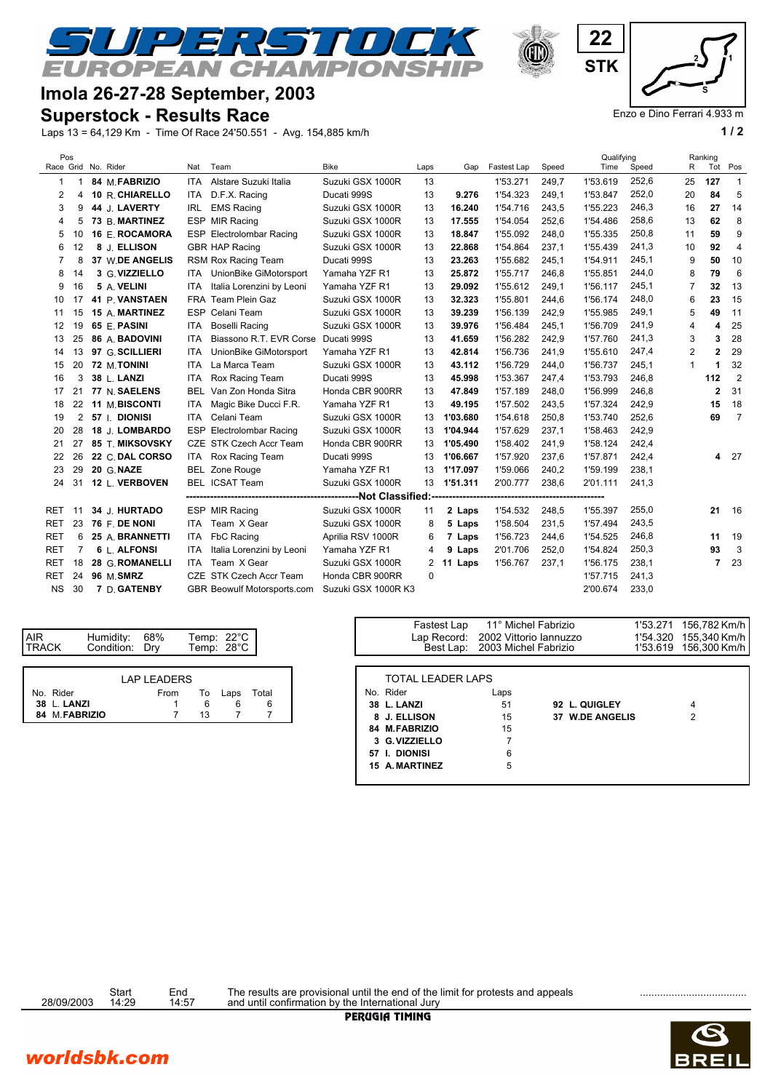

## **Imola 26-27-28 September, 2003**

## **Superstock - Results Race**

Laps 13 = 64,129 Km - Time Of Race 24'50.551 - Avg. 154,885 km/h **1 / 2**

| Pos       |                |  |                        |            |                                     |                     |      |             |             |       | Qualifying |       |                | Ranking        |                |
|-----------|----------------|--|------------------------|------------|-------------------------------------|---------------------|------|-------------|-------------|-------|------------|-------|----------------|----------------|----------------|
|           |                |  | Race Grid No. Rider    | Nat        | Team                                | <b>Bike</b>         | Laps | Gap         | Fastest Lap | Speed | Time       | Speed | R              | Tot            | Pos            |
| 1         |                |  | 84 M FABRIZIO          | ITA.       | Alstare Suzuki Italia               | Suzuki GSX 1000R    | 13   |             | 1'53.271    | 249.7 | 1'53.619   | 252,6 | 25             | 127            | $\overline{1}$ |
| 2         | 4              |  | 10 R. CHIARELLO        | <b>ITA</b> | D.F.X. Racing                       | Ducati 999S         | 13   | 9.276       | 1'54.323    | 249,1 | 1'53.847   | 252,0 | 20             | 84             | 5              |
| 3         | 9              |  | 44 J. LAVERTY          | IRL        | <b>EMS Racing</b>                   | Suzuki GSX 1000R    | 13   | 16.240      | 1'54.716    | 243,5 | 1'55.223   | 246,3 | 16             | 27             | 14             |
| 4         | 5              |  | 73 B. MARTINEZ         |            | ESP MIR Racing                      | Suzuki GSX 1000R    | 13   | 17.555      | 1'54.054    | 252,6 | 1'54.486   | 258,6 | 13             | 62             | 8              |
| 5         | 10             |  | 16 E. ROCAMORA         |            | ESP Electrolombar Racing            | Suzuki GSX 1000R    | 13   | 18.847      | 1'55.092    | 248,0 | 1'55.335   | 250,8 | 11             | 59             | 9              |
| 6         | 12             |  | 8 J. ELLISON           |            | <b>GBR HAP Racing</b>               | Suzuki GSX 1000R    | 13   | 22.868      | 1'54.864    | 237,1 | 1'55.439   | 241,3 | 10             | 92             | 4              |
| 7         | 8              |  | <b>37 W.DE ANGELIS</b> |            | RSM Rox Racing Team                 | Ducati 999S         | 13   | 23.263      | 1'55.682    | 245,1 | 1'54.911   | 245,1 | 9              | 50             | 10             |
| 8         | 14             |  | 3 G. VIZZIELLO         |            | ITA UnionBike GiMotorsport          | Yamaha YZF R1       | 13   | 25.872      | 1'55.717    | 246,8 | 1'55.851   | 244,0 | 8              | 79             | 6              |
| 9         | 16             |  | 5 A. VELINI            | ITA.       | Italia Lorenzini by Leoni           | Yamaha YZF R1       | 13   | 29.092      | 1'55.612    | 249.1 | 1'56.117   | 245,1 | $\overline{7}$ | 32             | 13             |
| 10        | 17             |  | 41 P. VANSTAEN         |            | FRA Team Plein Gaz                  | Suzuki GSX 1000R    | 13   | 32.323      | 1'55.801    | 244,6 | 1'56.174   | 248,0 | 6              | 23             | 15             |
| 11        | 15             |  | 15 A. MARTINEZ         |            | ESP Celani Team                     | Suzuki GSX 1000R    | 13   | 39.239      | 1'56.139    | 242,9 | 1'55.985   | 249,1 | 5              | 49             | 11             |
| 12        | 19             |  | 65 E. PASINI           | <b>ITA</b> | Boselli Racing                      | Suzuki GSX 1000R    | 13   | 39.976      | 1'56.484    | 245.1 | 1'56.709   | 241,9 | 4              | 4              | 25             |
| 13        | 25             |  | 86 A. BADOVINI         | <b>ITA</b> | Biassono R.T. EVR Corse Ducati 999S |                     | 13   | 41.659      | 1'56.282    | 242,9 | 1'57.760   | 241,3 | 3              | 3              | 28             |
| 14        | 13             |  | 97 G. SCILLIERI        | <b>ITA</b> | UnionBike GiMotorsport              | Yamaha YZF R1       | 13   | 42.814      | 1'56.736    | 241,9 | 1'55.610   | 247,4 | 2              | $\mathbf{2}$   | 29             |
| 15        | 20             |  | 72 M.TONINI            | <b>ITA</b> | La Marca Team                       | Suzuki GSX 1000R    | 13   | 43.112      | 1'56.729    | 244,0 | 1'56.737   | 245,1 | 1              | 1              | 32             |
| 16        | 3              |  | 38 L. LANZI            | ITA        | Rox Racing Team                     | Ducati 999S         | 13   | 45.998      | 1'53.367    | 247,4 | 1'53.793   | 246,8 |                | 112            | $\overline{2}$ |
| 17        | 21             |  | 77 N. SAELENS          | <b>BEL</b> | Van Zon Honda Sitra                 | Honda CBR 900RR     | 13   | 47.849      | 1'57.189    | 248.0 | 1'56.999   | 246,8 |                | $\mathbf{2}$   | 31             |
| 18        | 22             |  | <b>11 M.BISCONTI</b>   | ITA.       | Magic Bike Ducci F.R.               | Yamaha YZF R1       | 13   | 49.195      | 1'57.502    | 243,5 | 1'57.324   | 242,9 |                | 15             | 18             |
| 19        | $\overline{2}$ |  | 57   DIONISI           | ITA.       | Celani Team                         | Suzuki GSX 1000R    | 13   | 1'03.680    | 1'54.618    | 250,8 | 1'53.740   | 252,6 |                | 69             | $\overline{7}$ |
| 20        | 28             |  | 18 J. LOMBARDO         |            | ESP Electrolombar Racing            | Suzuki GSX 1000R    | 13   | 1'04.944    | 1'57.629    | 237.1 | 1'58.463   | 242,9 |                |                |                |
| 21        | 27             |  | 85 T. MIKSOVSKY        |            | CZE STK Czech Accr Team             | Honda CBR 900RR     |      | 13 1'05.490 | 1'58.402    | 241,9 | 1'58.124   | 242,4 |                |                |                |
| 22        | 26             |  | 22 C. DAL CORSO        |            | ITA Rox Racing Team                 | Ducati 999S         | 13   | 1'06.667    | 1'57.920    | 237.6 | 1'57.871   | 242,4 |                | 4              | 27             |
| 23        | 29             |  | 20 G. NAZE             |            | <b>BEL Zone Rouge</b>               | Yamaha YZF R1       | 13   | 1'17.097    | 1'59.066    | 240,2 | 1'59.199   | 238,1 |                |                |                |
| 24        | 31             |  | 12 L. VERBOVEN         |            | BEL ICSAT Team                      | Suzuki GSX 1000R    |      | 13 1'51.311 | 2'00.777    | 238,6 | 2'01.111   | 241,3 |                |                |                |
|           |                |  |                        |            |                                     |                     |      |             |             |       |            |       |                |                |                |
| RET       | -11            |  | 34 J. HURTADO          |            | ESP MIR Racing                      | Suzuki GSX 1000R    | 11   | 2 Laps      | 1'54.532    | 248,5 | 1'55.397   | 255,0 |                | 21             | 16             |
| RET       | 23             |  | 76 F. DE NONI          | ITA.       | Team X Gear                         | Suzuki GSX 1000R    | 8    | 5 Laps      | 1'58.504    | 231.5 | 1'57.494   | 243,5 |                |                |                |
| RET       | 6              |  | 25 A. BRANNETTI        | ITA        | FbC Racing                          | Aprilia RSV 1000R   | 6    | 7 Laps      | 1'56.723    | 244,6 | 1'54.525   | 246,8 |                | 11             | 19             |
| RET       | $\overline{7}$ |  | 6 L. ALFONSI           | ITA        | Italia Lorenzini by Leoni           | Yamaha YZF R1       | 4    | 9 Laps      | 2'01.706    | 252,0 | 1'54.824   | 250,3 |                | 93             | 3              |
| RET       | 18             |  | 28 G. ROMANELLI        | ITA        | Team X Gear                         | Suzuki GSX 1000R    |      | 2 11 Laps   | 1'56.767    | 237,1 | 1'56.175   | 238,1 |                | $\overline{7}$ | 23             |
| RET       | 24             |  | 96 M.SMRZ              |            | CZE STK Czech Accr Team             | Honda CBR 900RR     | 0    |             |             |       | 1'57.715   | 241,3 |                |                |                |
| <b>NS</b> | 30             |  | 7 D. GATENBY           |            | GBR Beowulf Motorsports.com         | Suzuki GSX 1000R K3 |      |             |             |       | 2'00.674   | 233,0 |                |                |                |

| <b>AIR</b><br><b>ITRACK</b> | Humidity: 68%<br>Condition: Drv |                    | Temp: 22°C<br>Temp: 28°C |      |       |  | Lap Record: 2002 Vitto | Best Lap: 2003 Mich |
|-----------------------------|---------------------------------|--------------------|--------------------------|------|-------|--|------------------------|---------------------|
|                             |                                 |                    |                          |      |       |  |                        |                     |
|                             |                                 | <b>LAP LEADERS</b> |                          |      |       |  | TOTAL LEADER LAPS      |                     |
| No. Rider                   |                                 | From               | To                       | Laps | Total |  | No. Rider              | Laps                |
| 38 L. LANZI                 |                                 |                    |                          |      |       |  | 38 L. LANZI            | 51                  |
| 84 M.FABRIZIO               |                                 |                    |                          |      |       |  | 8 J. ELLISON           | 15                  |

|  | Fastest Lap              | 11° Michel Fabrizio    |                 | 1'53.271 | 156,782 Km/h |
|--|--------------------------|------------------------|-----------------|----------|--------------|
|  | Lap Record:              | 2002 Vittorio Iannuzzo |                 | 1'54.320 | 155,340 Km/h |
|  | Best Lap:                | 2003 Michel Fabrizio   |                 | 1'53.619 | 156,300 Km/h |
|  |                          |                        |                 |          |              |
|  | <b>TOTAL LEADER LAPS</b> |                        |                 |          |              |
|  | No. Rider                | Laps                   |                 |          |              |
|  | 38 L. LANZI              | 51                     | 92 L. QUIGLEY   |          | 4            |
|  | 8 J. ELLISON             | 15                     | 37 W.DE ANGELIS |          | 2            |
|  | 84 M.FABRIZIO            | 15                     |                 |          |              |
|  | 3 G. VIZZIELLO           |                        |                 |          |              |
|  | 57 I. DIONISI            | 6                      |                 |          |              |
|  | 15 A. MARTINEZ           | 5                      |                 |          |              |
|  |                          |                        |                 |          |              |
|  |                          |                        |                 |          |              |



Enzo e Dino Ferrari 4.933 m

Start End ..................................... 28/09/2003 14:29 14:57 The results are provisional until the end of the limit for protests and appeals and until confirmation by the International Jury